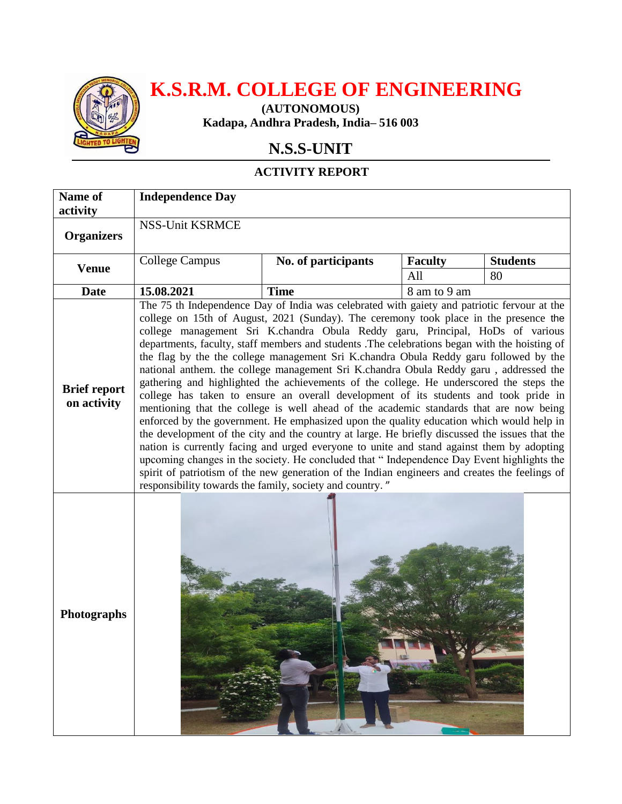

## **K.S.R.M. COLLEGE OF ENGINEERING**

**(AUTONOMOUS) Kadapa, Andhra Pradesh, India– 516 003**

## **N.S.S-UNIT**

## **ACTIVITY REPORT**

| Name of                            | <b>Independence Day</b>                                                                                                                                                                                                                                                                                                                                                                                                                                                                                                                                                                                                                                                                                                                                                                                                                                                                                                                                                                                                                                                                                                                                                                                                                                                                                                                                                                     |                     |                |                 |
|------------------------------------|---------------------------------------------------------------------------------------------------------------------------------------------------------------------------------------------------------------------------------------------------------------------------------------------------------------------------------------------------------------------------------------------------------------------------------------------------------------------------------------------------------------------------------------------------------------------------------------------------------------------------------------------------------------------------------------------------------------------------------------------------------------------------------------------------------------------------------------------------------------------------------------------------------------------------------------------------------------------------------------------------------------------------------------------------------------------------------------------------------------------------------------------------------------------------------------------------------------------------------------------------------------------------------------------------------------------------------------------------------------------------------------------|---------------------|----------------|-----------------|
| activity                           | <b>NSS-Unit KSRMCE</b>                                                                                                                                                                                                                                                                                                                                                                                                                                                                                                                                                                                                                                                                                                                                                                                                                                                                                                                                                                                                                                                                                                                                                                                                                                                                                                                                                                      |                     |                |                 |
| <b>Organizers</b>                  |                                                                                                                                                                                                                                                                                                                                                                                                                                                                                                                                                                                                                                                                                                                                                                                                                                                                                                                                                                                                                                                                                                                                                                                                                                                                                                                                                                                             |                     |                |                 |
| <b>Venue</b>                       | <b>College Campus</b>                                                                                                                                                                                                                                                                                                                                                                                                                                                                                                                                                                                                                                                                                                                                                                                                                                                                                                                                                                                                                                                                                                                                                                                                                                                                                                                                                                       | No. of participants | <b>Faculty</b> | <b>Students</b> |
|                                    |                                                                                                                                                                                                                                                                                                                                                                                                                                                                                                                                                                                                                                                                                                                                                                                                                                                                                                                                                                                                                                                                                                                                                                                                                                                                                                                                                                                             |                     | All            | 80              |
| <b>Date</b>                        | 15.08.2021                                                                                                                                                                                                                                                                                                                                                                                                                                                                                                                                                                                                                                                                                                                                                                                                                                                                                                                                                                                                                                                                                                                                                                                                                                                                                                                                                                                  | <b>Time</b>         | 8 am to 9 am   |                 |
| <b>Brief report</b><br>on activity | The 75 th Independence Day of India was celebrated with gaiety and patriotic fervour at the<br>college on 15th of August, 2021 (Sunday). The ceremony took place in the presence the<br>college management Sri K.chandra Obula Reddy garu, Principal, HoDs of various<br>departments, faculty, staff members and students .The celebrations began with the hoisting of<br>the flag by the the college management Sri K.chandra Obula Reddy garu followed by the<br>national anthem. the college management Sri K.chandra Obula Reddy garu, addressed the<br>gathering and highlighted the achievements of the college. He underscored the steps the<br>college has taken to ensure an overall development of its students and took pride in<br>mentioning that the college is well ahead of the academic standards that are now being<br>enforced by the government. He emphasized upon the quality education which would help in<br>the development of the city and the country at large. He briefly discussed the issues that the<br>nation is currently facing and urged everyone to unite and stand against them by adopting<br>upcoming changes in the society. He concluded that "Independence Day Event highlights the<br>spirit of patriotism of the new generation of the Indian engineers and creates the feelings of<br>responsibility towards the family, society and country." |                     |                |                 |
| <b>Photographs</b>                 | Sal Wa                                                                                                                                                                                                                                                                                                                                                                                                                                                                                                                                                                                                                                                                                                                                                                                                                                                                                                                                                                                                                                                                                                                                                                                                                                                                                                                                                                                      |                     |                |                 |